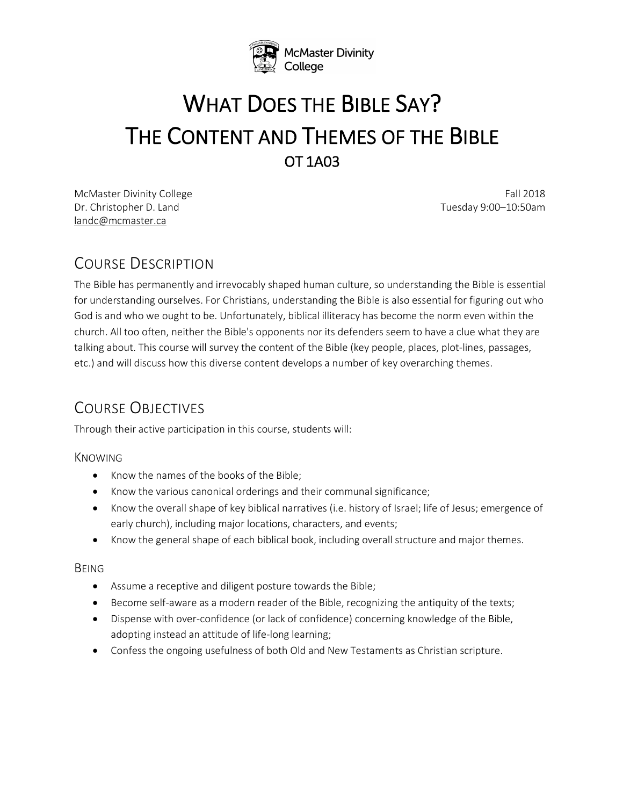

# WHAT DOES THE BIBLE SAY? THE CONTENT AND THEMES OF THE BIBLE

McMaster Divinity College Fall 2018 Dr. Christopher D. Land Tuesday 9:00–10:50am landc@mcmaster.ca

## COURSE DESCRIPTION

The Bible has permanently and irrevocably shaped human culture, so understanding the Bible is essential for understanding ourselves. For Christians, understanding the Bible is also essential for figuring out who God is and who we ought to be. Unfortunately, biblical illiteracy has become the norm even within the church. All too often, neither the Bible's opponents nor its defenders seem to have a clue what they are talking about. This course will survey the content of the Bible (key people, places, plot-lines, passages, etc.) and will discuss how this diverse content develops a number of key overarching themes.

# COURSE OBJECTIVES

Through their active participation in this course, students will:

#### KNOWING

- Know the names of the books of the Bible;
- Know the various canonical orderings and their communal significance;
- Know the overall shape of key biblical narratives (i.e. history of Israel; life of Jesus; emergence of early church), including major locations, characters, and events;
- Know the general shape of each biblical book, including overall structure and major themes.

#### BEING

- Assume a receptive and diligent posture towards the Bible;
- Become self-aware as a modern reader of the Bible, recognizing the antiquity of the texts;
- Dispense with over-confidence (or lack of confidence) concerning knowledge of the Bible, adopting instead an attitude of life-long learning;
- Confess the ongoing usefulness of both Old and New Testaments as Christian scripture.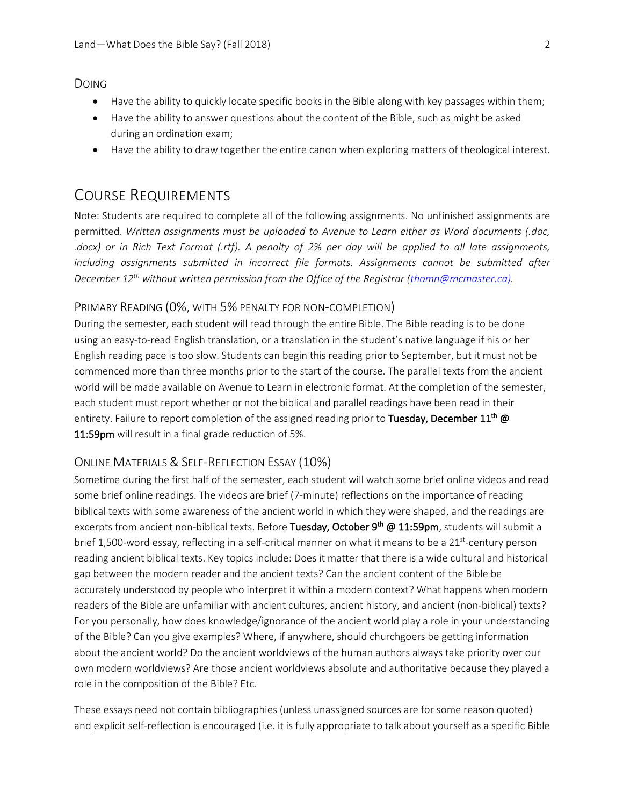DOING

- Have the ability to quickly locate specific books in the Bible along with key passages within them;
- Have the ability to answer questions about the content of the Bible, such as might be asked during an ordination exam;
- Have the ability to draw together the entire canon when exploring matters of theological interest.

## COURSE REQUIREMENTS

Note: Students are required to complete all of the following assignments. No unfinished assignments are permitted. *Written assignments must be uploaded to Avenue to Learn either as Word documents (.doc, .docx) or in Rich Text Format (.rtf). A penalty of 2% per day will be applied to all late assignments, including assignments submitted in incorrect file formats. Assignments cannot be submitted after December 12th without written permission from the Office of the Registrar (thomn@mcmaster.ca).*

#### PRIMARY READING (0%, WITH 5% PENALTY FOR NON-COMPLETION)

During the semester, each student will read through the entire Bible. The Bible reading is to be done using an easy-to-read English translation, or a translation in the student's native language if his or her English reading pace is too slow. Students can begin this reading prior to September, but it must not be commenced more than three months prior to the start of the course. The parallel texts from the ancient world will be made available on Avenue to Learn in electronic format. At the completion of the semester, each student must report whether or not the biblical and parallel readings have been read in their entirety. Failure to report completion of the assigned reading prior to Tuesday, December 11<sup>th</sup> @ 11:59pm will result in a final grade reduction of 5%.

#### ONLINE MATERIALS & SELF-REFLECTION ESSAY (10%)

Sometime during the first half of the semester, each student will watch some brief online videos and read some brief online readings. The videos are brief (7-minute) reflections on the importance of reading biblical texts with some awareness of the ancient world in which they were shaped, and the readings are excerpts from ancient non-biblical texts. Before Tuesday, October 9<sup>th</sup> @ 11:59pm, students will submit a brief 1,500-word essay, reflecting in a self-critical manner on what it means to be a 21<sup>st</sup>-century person reading ancient biblical texts. Key topics include: Does it matter that there is a wide cultural and historical gap between the modern reader and the ancient texts? Can the ancient content of the Bible be accurately understood by people who interpret it within a modern context? What happens when modern readers of the Bible are unfamiliar with ancient cultures, ancient history, and ancient (non-biblical) texts? For you personally, how does knowledge/ignorance of the ancient world play a role in your understanding of the Bible? Can you give examples? Where, if anywhere, should churchgoers be getting information about the ancient world? Do the ancient worldviews of the human authors always take priority over our own modern worldviews? Are those ancient worldviews absolute and authoritative because they played a role in the composition of the Bible? Etc.

These essays need not contain bibliographies (unless unassigned sources are for some reason quoted) and explicit self-reflection is encouraged (i.e. it is fully appropriate to talk about yourself as a specific Bible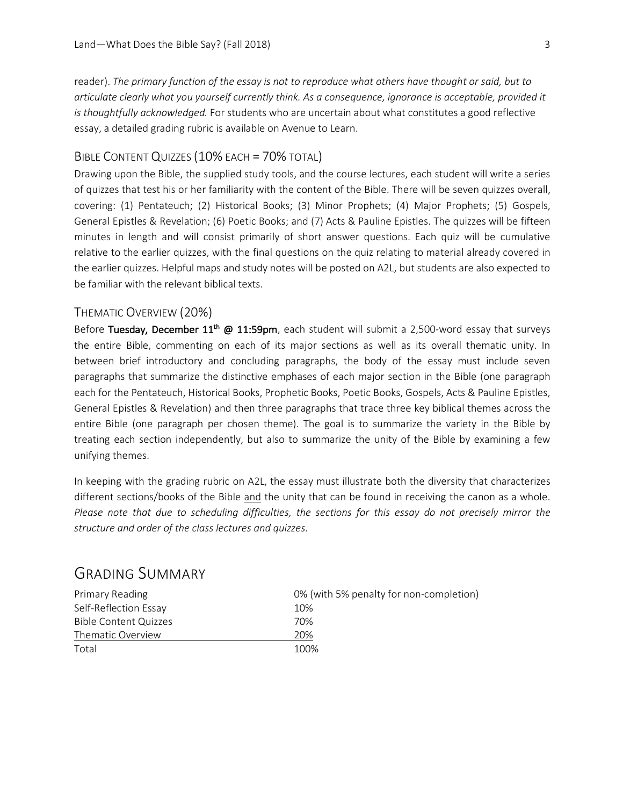reader). *The primary function of the essay is not to reproduce what others have thought or said, but to articulate clearly what you yourself currently think. As a consequence, ignorance is acceptable, provided it is thoughtfully acknowledged.* For students who are uncertain about what constitutes a good reflective essay, a detailed grading rubric is available on Avenue to Learn.

#### BIBLE CONTENT QUIZZES (10% EACH = 70% TOTAL)

Drawing upon the Bible, the supplied study tools, and the course lectures, each student will write a series of quizzes that test his or her familiarity with the content of the Bible. There will be seven quizzes overall, covering: (1) Pentateuch; (2) Historical Books; (3) Minor Prophets; (4) Major Prophets; (5) Gospels, General Epistles & Revelation; (6) Poetic Books; and (7) Acts & Pauline Epistles. The quizzes will be fifteen minutes in length and will consist primarily of short answer questions. Each quiz will be cumulative relative to the earlier quizzes, with the final questions on the quiz relating to material already covered in the earlier quizzes. Helpful maps and study notes will be posted on A2L, but students are also expected to be familiar with the relevant biblical texts.

#### THEMATIC OVERVIEW (20%)

Before Tuesday, December  $11^{th}$  @  $11:59$ pm, each student will submit a 2,500-word essay that surveys the entire Bible, commenting on each of its major sections as well as its overall thematic unity. In between brief introductory and concluding paragraphs, the body of the essay must include seven paragraphs that summarize the distinctive emphases of each major section in the Bible (one paragraph each for the Pentateuch, Historical Books, Prophetic Books, Poetic Books, Gospels, Acts & Pauline Epistles, General Epistles & Revelation) and then three paragraphs that trace three key biblical themes across the entire Bible (one paragraph per chosen theme). The goal is to summarize the variety in the Bible by treating each section independently, but also to summarize the unity of the Bible by examining a few unifying themes.

In keeping with the grading rubric on A2L, the essay must illustrate both the diversity that characterizes different sections/books of the Bible and the unity that can be found in receiving the canon as a whole. *Please note that due to scheduling difficulties, the sections for this essay do not precisely mirror the structure and order of the class lectures and quizzes.*

| 0% (with 5% penalty for non-completion) |
|-----------------------------------------|
| 10%                                     |
| 70%                                     |
| 20%                                     |
| 100%                                    |
|                                         |

#### GRADING SUMMARY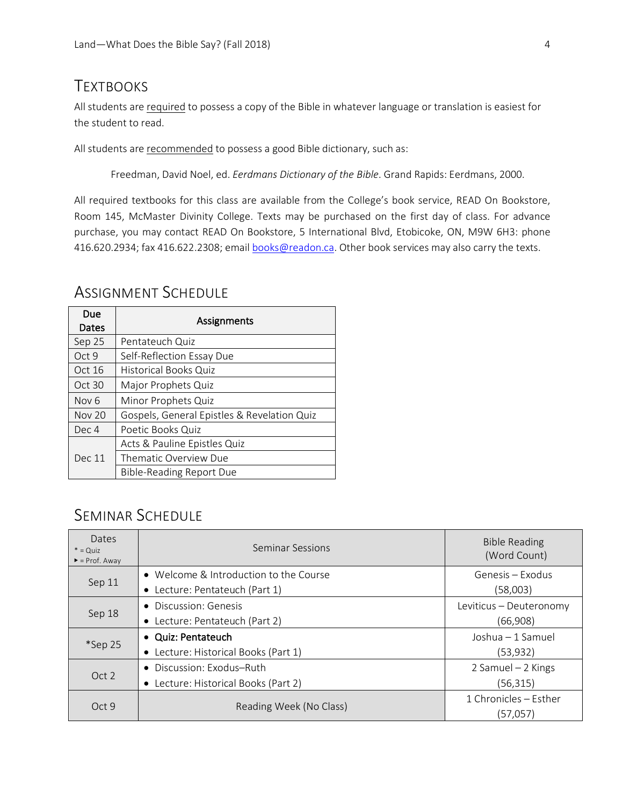## **TEXTBOOKS**

All students are required to possess a copy of the Bible in whatever language or translation is easiest for the student to read.

All students are recommended to possess a good Bible dictionary, such as:

Freedman, David Noel, ed. *Eerdmans Dictionary of the Bible*. Grand Rapids: Eerdmans, 2000.

All required textbooks for this class are available from the College's book service, READ On Bookstore, Room 145, McMaster Divinity College. Texts may be purchased on the first day of class. For advance purchase, you may contact READ On Bookstore, 5 International Blvd, Etobicoke, ON, M9W 6H3: phone 416.620.2934; fax 416.622.2308; email books@readon.ca. Other book services may also carry the texts.

| Due<br>Dates     | Assignments                                 |
|------------------|---------------------------------------------|
| Sep 25           | Pentateuch Quiz                             |
| Oct 9            | Self-Reflection Essay Due                   |
| Oct 16           | <b>Historical Books Quiz</b>                |
| Oct 30           | Major Prophets Quiz                         |
| Nov <sub>6</sub> | Minor Prophets Quiz                         |
| <b>Nov 20</b>    | Gospels, General Epistles & Revelation Quiz |
| Dec 4            | Poetic Books Quiz                           |
| Dec 11           | Acts & Pauline Epistles Quiz                |
|                  | Thematic Overview Due                       |
|                  | <b>Bible-Reading Report Due</b>             |

## ASSIGNMENT SCHEDULE

## SEMINAR SCHEDULE

| <b>Dates</b><br>$*$ = Quiz<br>$\blacktriangleright$ = Prof. Away | Seminar Sessions                       | <b>Bible Reading</b><br>(Word Count) |
|------------------------------------------------------------------|----------------------------------------|--------------------------------------|
| Sep 11                                                           | • Welcome & Introduction to the Course | Genesis – Exodus                     |
|                                                                  | • Lecture: Pentateuch (Part 1)         | (58,003)                             |
| Sep 18                                                           | • Discussion: Genesis                  | Leviticus - Deuteronomy              |
|                                                                  | • Lecture: Pentateuch (Part 2)         | (66,908)                             |
| *Sep 25                                                          | • Quiz: Pentateuch                     | Joshua - 1 Samuel                    |
|                                                                  | • Lecture: Historical Books (Part 1)   | (53,932)                             |
| Oct 2                                                            | • Discussion: Exodus-Ruth              | 2 Samuel - 2 Kings                   |
|                                                                  | • Lecture: Historical Books (Part 2)   | (56,315)                             |
| Oct9                                                             | Reading Week (No Class)                | 1 Chronicles – Esther                |
|                                                                  |                                        | (57,057)                             |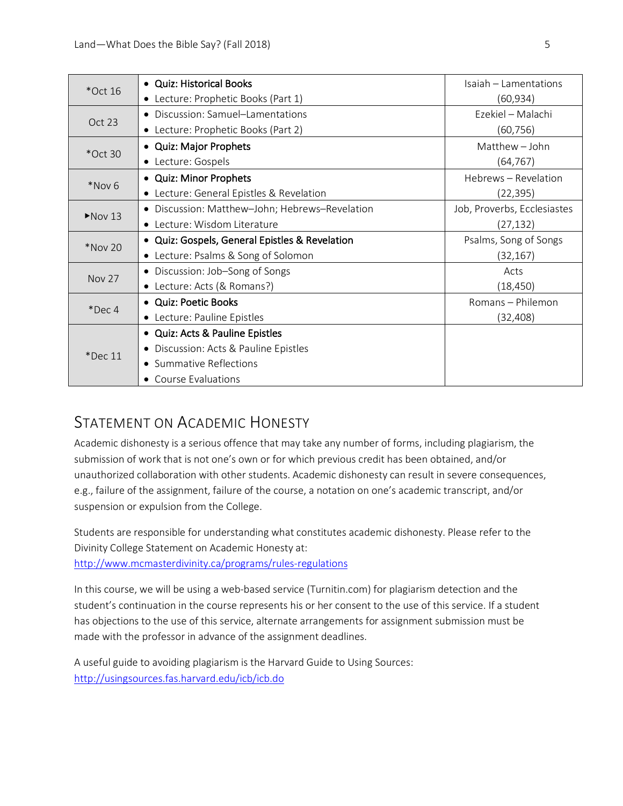| $*$ Oct 16 | • Quiz: Historical Books                         | Isaiah – Lamentations       |
|------------|--------------------------------------------------|-----------------------------|
|            | • Lecture: Prophetic Books (Part 1)              | (60,934)                    |
| Oct 23     | • Discussion: Samuel-Lamentations                | Ezekiel - Malachi           |
|            | Lecture: Prophetic Books (Part 2)<br>$\bullet$   | (60,756)                    |
| $*$ Oct 30 | • Quiz: Major Prophets                           | Matthew - John              |
|            | • Lecture: Gospels                               | (64, 767)                   |
| *Nov 6     | • Quiz: Minor Prophets                           | Hebrews - Revelation        |
|            | • Lecture: General Epistles & Revelation         | (22,395)                    |
| $Nov$ 13   | • Discussion: Matthew-John; Hebrews-Revelation   | Job, Proverbs, Ecclesiastes |
|            | • Lecture: Wisdom Literature                     | (27, 132)                   |
| *Nov 20    | • Quiz: Gospels, General Epistles & Revelation   | Psalms, Song of Songs       |
|            | • Lecture: Psalms & Song of Solomon              | (32,167)                    |
| Nov 27     | • Discussion: Job-Song of Songs                  | Acts                        |
|            | • Lecture: Acts (& Romans?)                      | (18, 450)                   |
| $*$ Dec 4  | • Quiz: Poetic Books                             | Romans - Philemon           |
|            | • Lecture: Pauline Epistles                      | (32,408)                    |
| $*$ Dec 11 | • Quiz: Acts & Pauline Epistles                  |                             |
|            | Discussion: Acts & Pauline Epistles<br>$\bullet$ |                             |
|            | • Summative Reflections                          |                             |
|            | • Course Evaluations                             |                             |

## STATEMENT ON ACADEMIC HONESTY

Academic dishonesty is a serious offence that may take any number of forms, including plagiarism, the submission of work that is not one's own or for which previous credit has been obtained, and/or unauthorized collaboration with other students. Academic dishonesty can result in severe consequences, e.g., failure of the assignment, failure of the course, a notation on one's academic transcript, and/or suspension or expulsion from the College.

Students are responsible for understanding what constitutes academic dishonesty. Please refer to the Divinity College Statement on Academic Honesty at: http://www.mcmasterdivinity.ca/programs/rules-regulations

In this course, we will be using a web-based service (Turnitin.com) for plagiarism detection and the student's continuation in the course represents his or her consent to the use of this service. If a student has objections to the use of this service, alternate arrangements for assignment submission must be made with the professor in advance of the assignment deadlines.

A useful guide to avoiding plagiarism is the Harvard Guide to Using Sources: http://usingsources.fas.harvard.edu/icb/icb.do